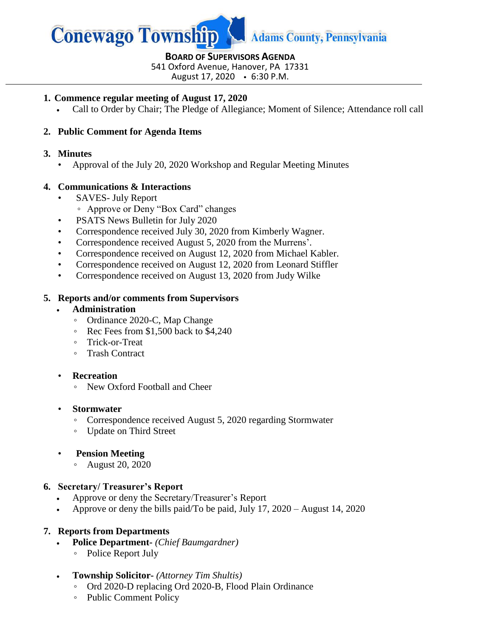

## **BOARD OF SUPERVISORS AGENDA**

541 Oxford Avenue, Hanover, PA 17331

August 17, 2020 6:30 P.M.

#### **1. Commence regular meeting of August 17, 2020**

Call to Order by Chair; The Pledge of Allegiance; Moment of Silence; Attendance roll call

# **2. Public Comment for Agenda Items**

#### **3. Minutes**

• Approval of the July 20, 2020 Workshop and Regular Meeting Minutes

# **4. Communications & Interactions**

- SAVES- July Report
	- Approve or Deny "Box Card" changes
- PSATS News Bulletin for July 2020
- Correspondence received July 30, 2020 from Kimberly Wagner.
- Correspondence received August 5, 2020 from the Murrens'.
- Correspondence received on August 12, 2020 from Michael Kabler.
- Correspondence received on August 12, 2020 from Leonard Stiffler
- Correspondence received on August 13, 2020 from Judy Wilke

## **5. Reports and/or comments from Supervisors**

## **Administration**

- Ordinance 2020-C, Map Change
- Rec Fees from \$1,500 back to \$4,240
- Trick-or-Treat
- Trash Contract

## • **Recreation**

◦ New Oxford Football and Cheer

## • **Stormwater**

- Correspondence received August 5, 2020 regarding Stormwater
- Update on Third Street

## • **Pension Meeting**

◦ August 20, 2020

## **6. Secretary/ Treasurer's Report**

- Approve or deny the Secretary/Treasurer's Report
- Approve or deny the bills paid/To be paid, July 17, 2020 August 14, 2020

## **7. Reports from Departments**

- **Police Department-** *(Chief Baumgardner)*
	- Police Report July
- **Township Solicitor-** *(Attorney Tim Shultis)*
	- Ord 2020-D replacing Ord 2020-B, Flood Plain Ordinance
	- Public Comment Policy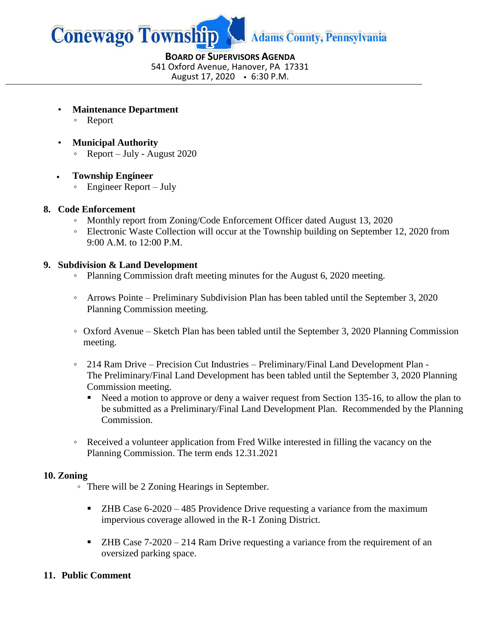

**BOARD OF SUPERVISORS AGENDA** 541 Oxford Avenue, Hanover, PA 17331 August 17, 2020 6:30 P.M.

- **Maintenance Department**
	- Report
- **Municipal Authority**
	- Report July August 2020

## **Township Engineer**

◦ Engineer Report – July

## **8. Code Enforcement**

- Monthly report from Zoning/Code Enforcement Officer dated August 13, 2020
- Electronic Waste Collection will occur at the Township building on September 12, 2020 from 9:00 A.M. to 12:00 P.M.

## **9. Subdivision & Land Development**

- Planning Commission draft meeting minutes for the August 6, 2020 meeting.
- Arrows Pointe Preliminary Subdivision Plan has been tabled until the September 3, 2020 Planning Commission meeting.
- Oxford Avenue Sketch Plan has been tabled until the September 3, 2020 Planning Commission meeting.
- 214 Ram Drive Precision Cut Industries Preliminary/Final Land Development Plan The Preliminary/Final Land Development has been tabled until the September 3, 2020 Planning Commission meeting.
	- Need a motion to approve or deny a waiver request from Section 135-16, to allow the plan to be submitted as a Preliminary/Final Land Development Plan. Recommended by the Planning Commission.
- Received a volunteer application from Fred Wilke interested in filling the vacancy on the Planning Commission. The term ends 12.31.2021

## **10. Zoning**

- There will be 2 Zoning Hearings in September.
	- $\blacksquare$  ZHB Case 6-2020 485 Providence Drive requesting a variance from the maximum impervious coverage allowed in the R-1 Zoning District.
	- ZHB Case 7-2020 214 Ram Drive requesting a variance from the requirement of an oversized parking space.

## **11. Public Comment**